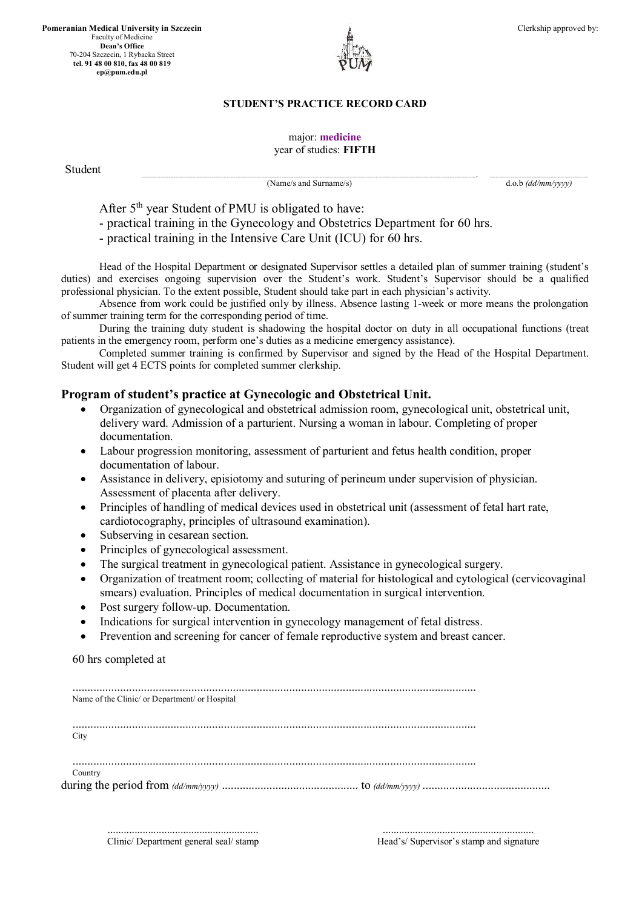**Pomeranian Medical University in Szczecin** Faculty of Medicine **Dean's Office** 70-204 Szczecin, 1 Rybacka Street **tel. 91 48 00 810, fax 48 00 819 ep@pum.edu.pl**



**..............................................................................................................................................................................................................................................................................................................................................................................................................................- ..........................................................................................................................**

## major: **medicine** year of studies: **FIFTH**

Student **b** *student student* 

Clerkship approved by:

(Name/s and Surname/s) d.o.b *(dd/mm/yyyy)*

After 5<sup>th</sup> year Student of PMU is obligated to have:

- practical training in the Gynecology and Obstetrics Department for 60 hrs.

- practical training in the Intensive Care Unit (ICU) for 60 hrs.

Head of the Hospital Department or designated Supervisor settles a detailed plan of summer training (student's duties) and exercises ongoing supervision over the Student's work. Student's Supervisor should be a qualified professional physician. To the extent possible, Student should take part in each physician's activity.

Absence from work could be justified only by illness. Absence lasting 1-week or more means the prolongation of summer training term for the corresponding period of time.

During the training duty student is shadowing the hospital doctor on duty in all occupational functions (treat patients in the emergency room, perform one's duties as a medicine emergency assistance).

Completed summer training is confirmed by Supervisor and signed by the Head of the Hospital Department. Student will get 4 ECTS points for completed summer clerkship.

# **Program of student's practice at Gynecologic and Obstetrical Unit.**

- Organization of gynecological and obstetrical admission room, gynecological unit, obstetrical unit, delivery ward. Admission of a parturient. Nursing a woman in labour. Completing of proper documentation.
- Labour progression monitoring, assessment of parturient and fetus health condition, proper documentation of labour.
- Assistance in delivery, episiotomy and suturing of perineum under supervision of physician. Assessment of placenta after delivery.
- Principles of handling of medical devices used in obstetrical unit (assessment of fetal hart rate, cardiotocography, principles of ultrasound examination).
- Subserving in cesarean section.
- Principles of gynecological assessment.
- The surgical treatment in gynecological patient. Assistance in gynecological surgery.
- Organization of treatment room; collecting of material for histological and cytological (cervicovaginal smears) evaluation. Principles of medical documentation in surgical intervention.
- Post surgery follow-up. Documentation.
- Indications for surgical intervention in gynecology management of fetal distress.
- Prevention and screening for cancer of female reproductive system and breast cancer.

60 hrs completed at

| Name of the Clinic/ or Department/ or Hospital |  |
|------------------------------------------------|--|
| City                                           |  |
| Country                                        |  |

........................................................ Head's/ Supervisor's stamp and signature